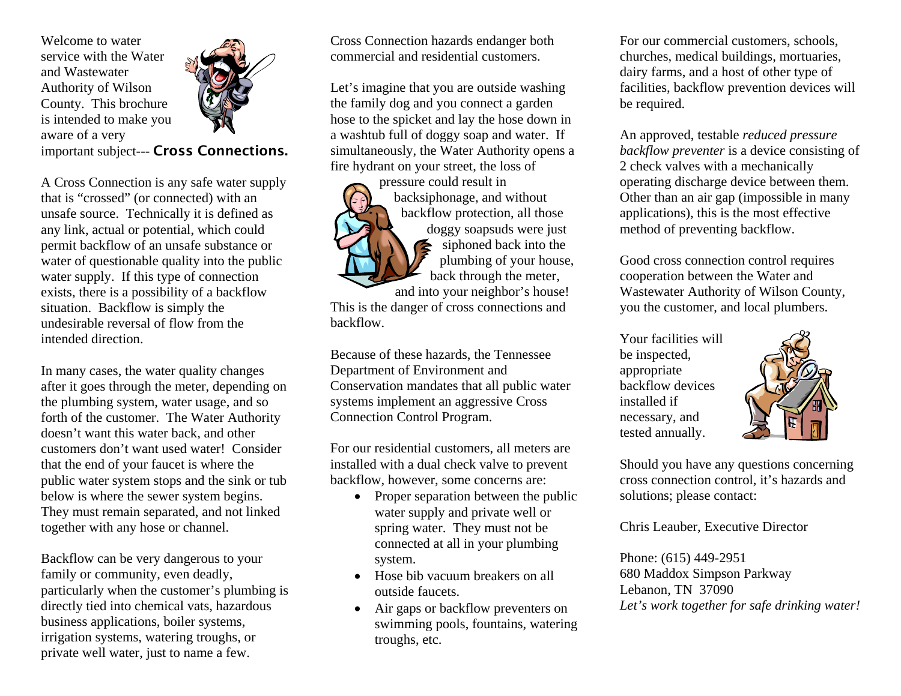Welcome to water service with the Water and Wastewater Authority of Wilson County. This brochure is intended to make you aware of a very



important subject--- Cross Connections.

A Cross Connection is any safe water supply that is "crossed" (or connected) with an unsafe source. Technically it is defined as any link, actual or potential, which could permit backflow of an unsafe substance or water of questionable quality into the public water supply. If this type of connection exists, there is a possibility of a backflow situation. Backflow is simply the undesirable reversal of flow from the intended direction.

In many cases, the water quality changes after it goes through the meter, depending on the plumbing system, water usage, and so forth of the customer. The Water Authority doesn't want this water back, and other customers don't want used water! Consider that the end of your faucet is where the public water system stops and the sink or tub below is where the sewer system begins. They must remain separated, and not linked together with any hose or channel.

Backflow can be very dangerous to your family or community, even deadly, particularly when the customer's plumbing is directly tied into chemical vats, hazardous business applications, boiler systems, irrigation systems, watering troughs, or private well water, just to name a few.

Cross Connection hazards endanger both commercial and residential customers.

Let's imagine that you are outside washing the family dog and you connect a garden hose to the spicket and lay the hose down in a washtub full of doggy soap and water. If simultaneously, the Water Authority opens a fire hydrant on your street, the loss of



backsiphonage, and without backflow protection, all those doggy soapsuds were just siphoned back into the plumbing of your house, back through the meter,

and into your neighbor's house! This is the danger of cross connections and backflow.

Because of these hazards, the Tennessee Conservation mandates that all public water Department of Environment and systems implement an aggressive Cross Connection Control Program.

For our residential customers, all meters are installed with a dual check valve to prevent backflow, however, some concerns are:

- Proper separation between the public water supply and private well or spring water. They must not be connected at all in your plumbing system.
- Hose bib vacuum breakers on all outside faucets.
- Air gaps or backflow preventers on swimming pools, fountains, watering troughs, etc.

For our commercial customers, schools, churches, medical buildings, mortuaries, dairy fa rms, and a host of other type of facilities, backflow prevention devices will be required.

2 check valves with a mechanically . operating discharge device between them An approved, testable *reduced pressure backflow preventer* is a device consisting of Other than an air gap (impossible in many applications), this is the most effective method of preventing backflow.

Wastewater Authority of Wilson County, Good cross connection control requires cooperation between the Water and you the customer, and local plumbers.

necessary, and Your facilities will be inspected, appropriate backflow devices installed if tested annually.



Should you have any questions concerning cross connection control, it's hazards and solutions; please contact:

Chris Leauber, Executive Director

Let's work together for safe drinking water! Phone: (615) 449-2951 680 Maddox Simpson Parkway Lebanon, TN 37090